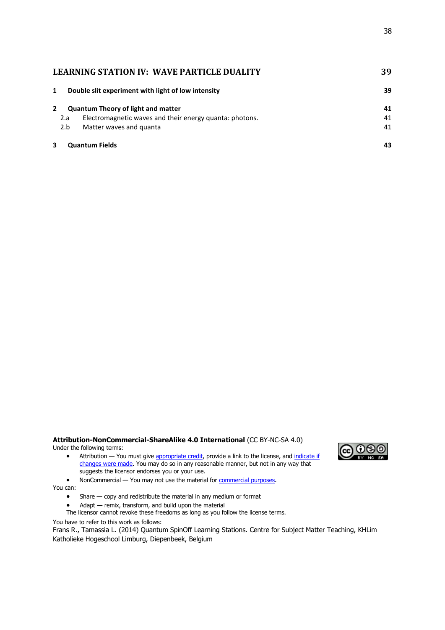| LEARNING STATION IV: WAVE PARTICLE DUALITY |                                           |                                                         | 39 |
|--------------------------------------------|-------------------------------------------|---------------------------------------------------------|----|
| 1                                          |                                           | Double slit experiment with light of low intensity      | 39 |
| $\mathbf{2}$                               | <b>Quantum Theory of light and matter</b> |                                                         | 41 |
|                                            | 2.a                                       | Electromagnetic waves and their energy quanta: photons. | 41 |
|                                            | 2.b                                       | Matter waves and quanta                                 | 41 |
| <b>Quantum Fields</b>                      |                                           | 43                                                      |    |

#### **Attribution-NonCommercial-ShareAlike 4.0 International** (CC BY-NC-SA 4.0) Under the following terms:

- Attribution You must give [appropriate credit,](https://creativecommons.org/licenses/by-nc-sa/4.0/) provide a link to the license, and indicate if [changes were made.](https://creativecommons.org/licenses/by-nc-sa/4.0/) You may do so in any reasonable manner, but not in any way that suggests the licensor endorses you or your use.
- NonCommercial You may not use the material for [commercial purposes.](https://creativecommons.org/licenses/by-nc-sa/4.0/) You can:
	- Share copy and redistribute the material in any medium or format
	- Adapt remix, transform, and build upon the material

The licensor cannot revoke these freedoms as long as you follow the license terms.

You have to refer to this work as follows:

Frans R., Tamassia L. (2014) Quantum SpinOff Learning Stations. Centre for Subject Matter Teaching, KHLim Katholieke Hogeschool Limburg, Diepenbeek, Belgium

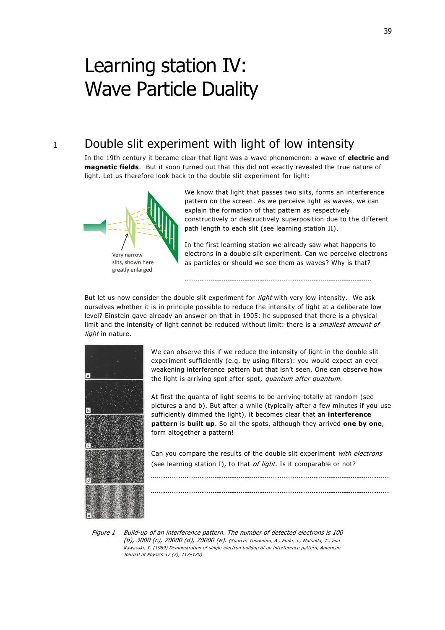# <span id="page-1-0"></span>Learning station IV: Wave Particle Duality

### <span id="page-1-1"></span><sup>1</sup> Double slit experiment with light of low intensity

In the 19th century it became clear that light was a wave phenomenon: a wave of **electric and magnetic fields**. But it soon turned out that this did not exactly revealed the true nature of light. Let us therefore look back to the double slit experiment for light:



We know that light that passes two slits, forms an interference pattern on the screen. As we perceive light as waves, we can explain the formation of that pattern as respectively constructively or destructively superposition due to the different path length to each slit (see learning station II).

In the first learning station we already saw what happens to electrons in a double slit experiment. Can we perceive electrons as particles or should we see them as waves? Why is that?

But let us now consider the double slit experiment for *light* with very low intensity. We ask ourselves whether it is in principle possible to reduce the intensity of light at a deliberate low level? Einstein gave already an answer on that in 1905: he supposed that there is a physical limit and the intensity of light cannot be reduced without limit: there is a *smallest amount of* light in nature.



We can observe this if we reduce the intensity of light in the double slit experiment sufficiently (e.g. by using filters): you would expect an ever weakening interference pattern but that isn't seen. One can observe how the light is arriving spot after spot, quantum after quantum.

At first the quanta of light seems to be arriving totally at random (see pictures a and b). But after a while (typically after a few minutes if you use sufficiently dimmed the light), it becomes clear that an **interference pattern** is **built up**. So all the spots, although they arrived **one by one**, form altogether a pattern!

Can you compare the results of the double slit experiment with electrons (see learning station I), to that *of light*. Is it comparable or not?

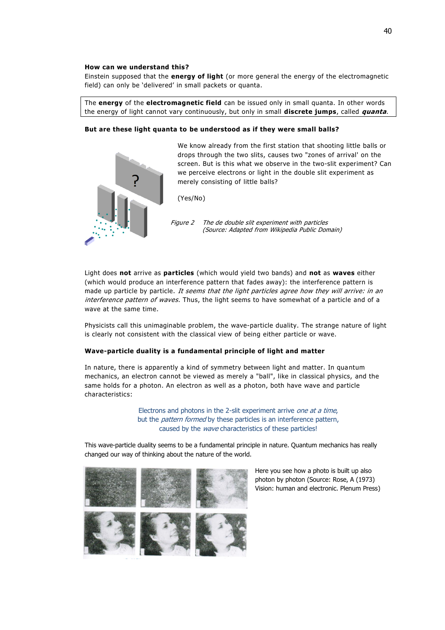#### **How can we understand this?**

Einstein supposed that the **energy of light** (or more general the energy of the electromagnetic field) can only be 'delivered' in small packets or quanta.

The **energy** of the **electromagnetic field** can be issued only in small quanta. In other words the energy of light cannot vary continuously, but only in small **discrete jumps**, called **quanta**.

#### **But are these light quanta to be understood as if they were small balls?**



Light does **not** arrive as **particles** (which would yield two bands) and **not** as **waves** either (which would produce an interference pattern that fades away): the interference pattern is made up particle by particle. It seems that the light particles agree how they will arrive: in an interference pattern of waves. Thus, the light seems to have somewhat of a particle and of a wave at the same time.

Physicists call this unimaginable problem, the wave-particle duality. The strange nature of light is clearly not consistent with the classical view of being either particle or wave.

#### **Wave-particle duality is a fundamental principle of light and matter**

In nature, there is apparently a kind of symmetry between light and matter. In quantum mechanics, an electron cannot be viewed as merely a "ball", like in classical physics, and the same holds for a photon. An electron as well as a photon, both have wave and particle characteristics:

> Electrons and photons in the 2-slit experiment arrive one at a time, but the *pattern formed* by these particles is an interference pattern, caused by the wave characteristics of these particles!

This wave-particle duality seems to be a fundamental principle in nature. Quantum mechanics has really changed our way of thinking about the nature of the world.



Here you see how a photo is built up also photon by photon (Source: Rose, A (1973) Vision: human and electronic. Plenum Press)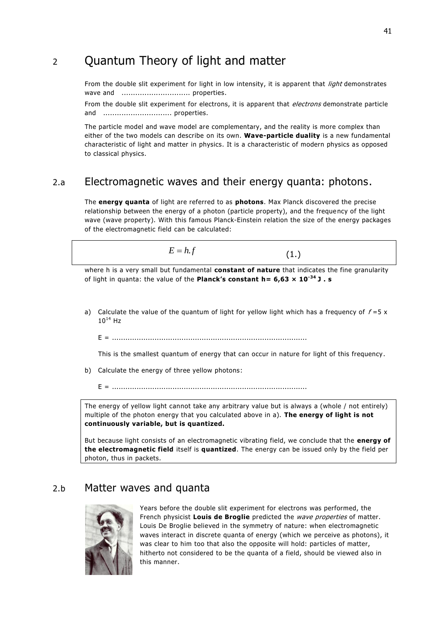## <span id="page-3-0"></span><sup>2</sup> Quantum Theory of light and matter

From the double slit experiment for light in low intensity, it is apparent that *light* demonstrates wave and .............................. properties.

From the double slit experiment for electrons, it is apparent that *electrons* demonstrate particle and .............................. properties.

The particle model and wave model are complementary, and the reality is more complex than either of the two models can describe on its own. **Wave-particle duality** is a new fundamental characteristic of light and matter in physics. It is a characteristic of modern physics as opposed to classical physics.

### <span id="page-3-1"></span>2.a Electromagnetic waves and their energy quanta: photons.

The **energy quanta** of light are referred to as **photons**. Max Planck discovered the precise relationship between the energy of a photon (particle property), and the frequency of the light wave (wave property). With this famous Planck-Einstein relation the size of the energy packages of the electromagnetic field can be calculated:

 $E = h.f$ 

(1.)

where h is a very small but fundamental **constant of nature** that indicates the fine granularity of light in quanta: the value of the **Planck's constant h= 6,63 × 10-34 J . s**

a) Calculate the value of the quantum of light for yellow light which has a frequency of  $f = 5x$  $10^{14}$  Hz

E = .......................................................................................

This is the smallest quantum of energy that can occur in nature for light of this frequency .

b) Calculate the energy of three yellow photons:

E = .......................................................................................

The energy of yellow light cannot take any arbitrary value but is always a (whole / not entirely) multiple of the photon energy that you calculated above in a). **The energy of light is not continuously variable, but is quantized.**

But because light consists of an electromagnetic vibrating field, we conclude that the **energy of the electromagnetic field** itself is **quantized**. The energy can be issued only by the field per photon, thus in packets.

### <span id="page-3-2"></span>2.b Matter waves and quanta



Years before the double slit experiment for electrons was performed, the French physicist **Louis de Broglie** predicted the wave properties of matter. Louis De Broglie believed in the symmetry of nature: when electromagnetic waves interact in discrete quanta of energy (which we perceive as photons), it was clear to him too that also the opposite will hold: particles of matter, hitherto not considered to be the quanta of a field, should be viewed also in this manner.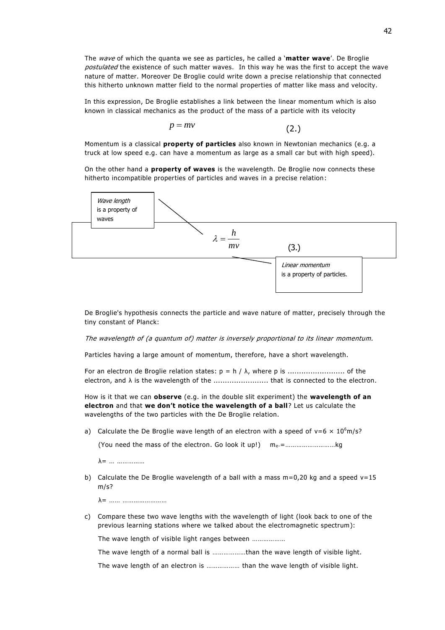The wave of which the quanta we see as particles, he called a '**matter wave**'. De Broglie postulated the existence of such matter waves. In this way he was the first to accept the wave nature of matter. Moreover De Broglie could write down a precise relationship that connected this hitherto unknown matter field to the normal properties of matter like mass and velocity.

In this expression, De Broglie establishes a link between the linear momentum which is also known in classical mechanics as the product of the mass of a particle with its velocity

$$
=mv
$$

*p mv*

Momentum is a classical **property of particles** also known in Newtonian mechanics (e.g. a truck at low speed e.g. can have a momentum as large as a small car but with high speed).

(2.)

On the other hand a **property of waves** is the wavelength. De Broglie now connects these hitherto incompatible properties of particles and waves in a precise relation:



De Broglie's hypothesis connects the particle and wave nature of matter, precisely through the tiny constant of Planck:

The wavelength of (a quantum of) matter is inversely proportional to its linear momentum.

Particles having a large amount of momentum, therefore, have a short wavelength.

For an electron de Broglie relation states: p = h / λ, where p is ......................... of the electron, and λ is the wavelength of the ........................ that is connected to the electron.

How is it that we can **observe** (e.g. in the double slit experiment) the **wavelength of an electron** and that **we don't notice the wavelength of a ball**? Let us calculate the wavelengths of the two particles with the De Broglie relation.

a) Calculate the De Broglie wave length of an electron with a speed of v=6  $\times$  10<sup>6</sup>m/s?

(You need the mass of the electron. Go look it up!) me-=………………………kg

λ= … ……………

b) Calculate the De Broglie wavelength of a ball with a mass  $m=0.20$  kg and a speed  $v=15$ m/s?

λ= …… ……………………

c) Compare these two wave lengths with the wavelength of light (look back to one of the previous learning stations where we talked about the electromagnetic spectrum):

The wave length of visible light ranges between ………………

The wave length of a normal ball is ………………than the wave length of visible light.

The wave length of an electron is ……………… than the wave length of visible light.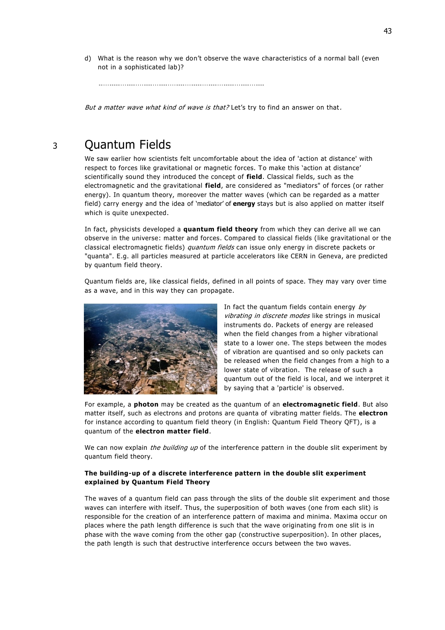d) What is the reason why we don't observe the wave characteristics of a normal ball (even not in a sophisticated lab)?

But a matter wave what kind of wave is that? Let's try to find an answer on that.

### <span id="page-5-0"></span><sup>3</sup> Quantum Fields

We saw earlier how scientists felt uncomfortable about the idea of 'action at distance' with respect to forces like gravitational or magnetic forces. To make this 'action at distance' scientifically sound they introduced the concept of **field**. Classical fields, such as the electromagnetic and the gravitational **field**, are considered as "mediators" of forces (or rather energy). In quantum theory, moreover the matter waves (which can be regarded as a matter field) carry energy and the idea of 'mediator' of **energy** stays but is also applied on matter itself which is quite unexpected.

In fact, physicists developed a **quantum field theory** from which they can derive all we can observe in the universe: matter and forces. Compared to classical fields (like gravitational or the classical electromagnetic fields) *quantum fields* can issue only energy in discrete packets or "quanta". E.g. all particles measured at particle accelerators like CERN in Geneva, are predicted by quantum field theory.

Quantum fields are, like classical fields, defined in all points of space. They may vary over time as a wave, and in this way they can propagate.



In fact the quantum fields contain energy  $bv$ vibrating in discrete modes like strings in musical instruments do. Packets of energy are released when the field changes from a higher vibrational state to a lower one. The steps between the modes of vibration are quantised and so only packets can be released when the field changes from a high to a lower state of vibration. The release of such a quantum out of the field is local, and we interpret it by saying that a 'particle' is observed.

For example, a **photon** may be created as the quantum of an **electromagnetic field**. But also matter itself, such as electrons and protons are quanta of vibrating matter fields. The **electron** for instance according to quantum field theory (in English: Quantum Field Theory QFT), is a quantum of the **electron matter field**.

We can now explain *the building up* of the interference pattern in the double slit experiment by quantum field theory.

#### **The building-up of a discrete interference pattern in the double slit experiment explained by Quantum Field Theory**

The waves of a quantum field can pass through the slits of the double slit experiment and those waves can interfere with itself. Thus, the superposition of both waves (one from each slit) is responsible for the creation of an interference pattern of maxima and minima. Maxima occur on places where the path length difference is such that the wave originating from one slit is in phase with the wave coming from the other gap (constructive superposition). In other places, the path length is such that destructive interference occurs between the two waves.